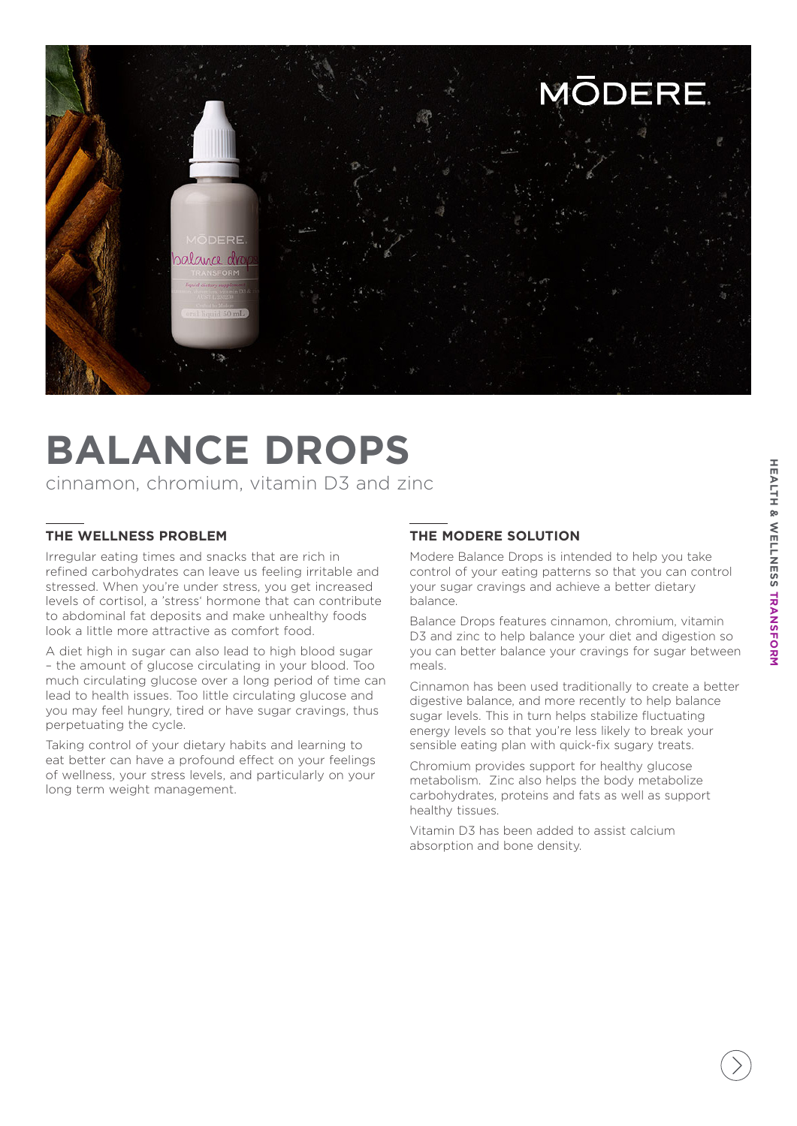

# **BALANCE DROPS**

cinnamon, chromium, vitamin D3 and zinc

## **THE WELLNESS PROBLEM**

Irregular eating times and snacks that are rich in refined carbohydrates can leave us feeling irritable and stressed. When you're under stress, you get increased levels of cortisol, a 'stress' hormone that can contribute to abdominal fat deposits and make unhealthy foods look a little more attractive as comfort food.

A diet high in sugar can also lead to high blood sugar – the amount of glucose circulating in your blood. Too much circulating glucose over a long period of time can lead to health issues. Too little circulating glucose and you may feel hungry, tired or have sugar cravings, thus perpetuating the cycle.

Taking control of your dietary habits and learning to eat better can have a profound effect on your feelings of wellness, your stress levels, and particularly on your long term weight management.

## **THE MODERE SOLUTION**

Modere Balance Drops is intended to help you take control of your eating patterns so that you can control your sugar cravings and achieve a better dietary balance.

Balance Drops features cinnamon, chromium, vitamin D3 and zinc to help balance your diet and digestion so you can better balance your cravings for sugar between meals.

Cinnamon has been used traditionally to create a better digestive balance, and more recently to help balance sugar levels. This in turn helps stabilize fluctuating energy levels so that you're less likely to break your sensible eating plan with quick-fix sugary treats.

Chromium provides support for healthy glucose metabolism. Zinc also helps the body metabolize carbohydrates, proteins and fats as well as support healthy tissues.

Vitamin D3 has been added to assist calcium absorption and bone density.